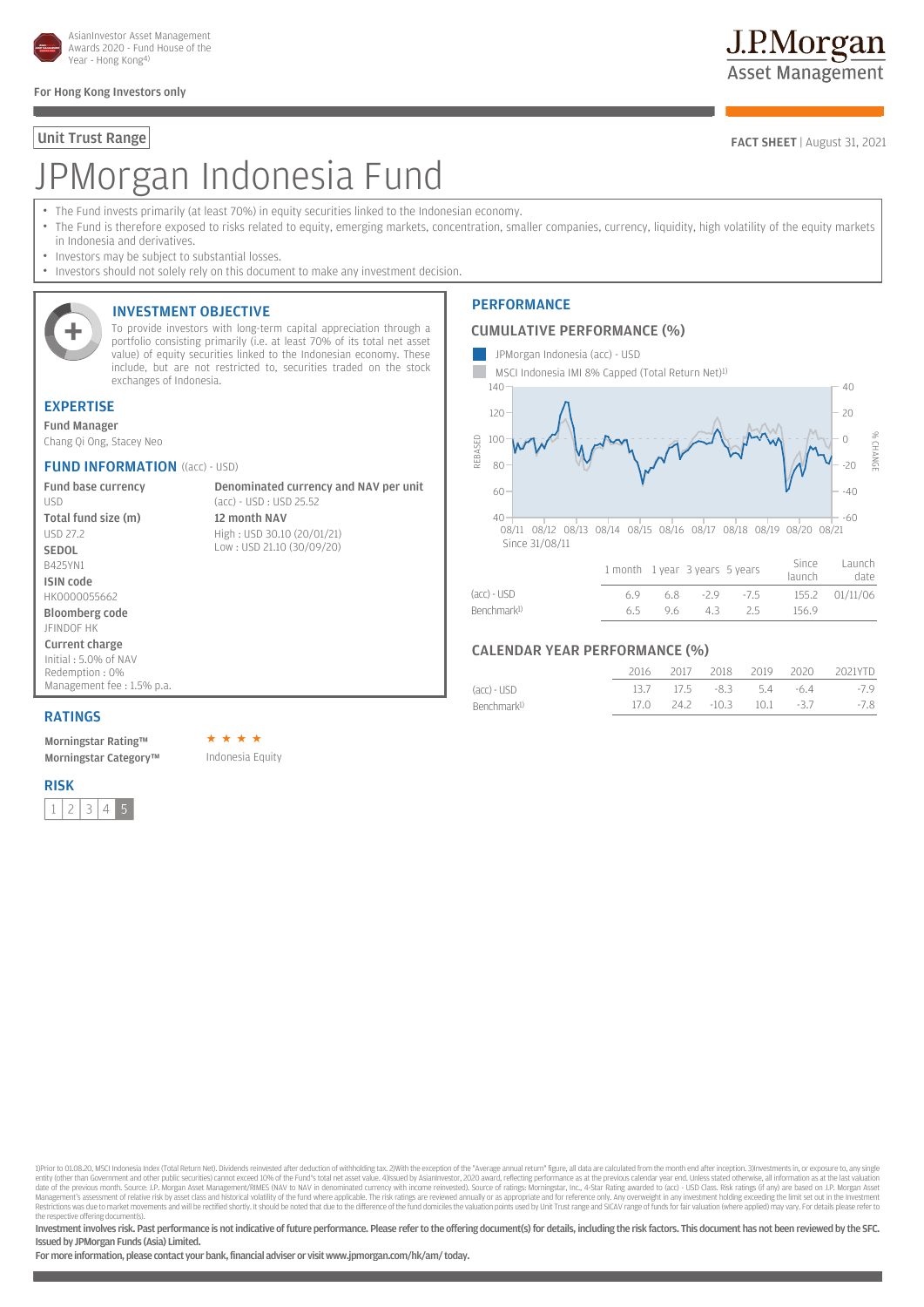

#### For Hong Kong Investors only

# JPMorgan Indonesia Fund

- The Fund invests primarily (at least 70%) in equity securities linked to the Indonesian economy.
- The Fund is therefore exposed to risks related to equity, emerging markets, concentration, smaller companies, currency, liquidity, high volatility of the equity markets in Indonesia and derivatives.
- Investors may be subject to substantial losses.
- Investors should not solely rely on this document to make any investment decision.



#### INVESTMENT OBJECTIVE

To provide investors with long-term capital appreciation through a portfolio consisting primarily (i.e. at least 70% of its total net asset value) of equity securities linked to the Indonesian economy. These include, but are not restricted to, securities traded on the stock exchanges of Indonesia.

#### EXPERTISE

Fund Manager Chang Qi Ong, Stacey Neo

#### **FUND INFORMATION** ((acc) - USD)

Fund base currency USD Total fund size (m) USD 27.2 SEDOL B425YN1 ISIN code HK0000055662 Bloomberg code JFINDOF HK Current charge Initial : 5.0% of NAV Redemption : 0% Management fee : 1.5% p.a.

Denominated currency and NAV per unit (acc) - USD : USD 25.52 12 month NAV High : USD 30.10 (20/01/21) Low : USD 21.10 (30/09/20)

#### **PERFORMANCE**

### CUMULATIVE PERFORMANCE (%)

- JPMorgan Indonesia (acc) USD
- MSCI Indonesia IMI 8% Capped (Total Return Net)1)



#### (acc) - USD 6.9 6.8 -2.9 -7.5 155.2 01/11/06 Benchmark1) 6.5 9.6 4.3 2.5 156.9

#### CALENDAR YEAR PERFORMANCE (%)

|                         |  |  | 2016 2017 2018 2019 2020 2021YTD |
|-------------------------|--|--|----------------------------------|
| (acc) - USD             |  |  | 13.7 17.5 -8.3 5.4 -6.4 -7.9     |
| Benchmark <sup>1)</sup> |  |  | 17.0 24.2 -10.3 10.1 -3.7 -7.8   |

#### RATINGS

Morningstar Rating™ Morningstar Category™ Indonesia Equity

#### RISK

 $1$  | 2 | 3 | 4 | 5

DPrior to 01.08.20, MSCI Indonesia Index (Total Return Net). Dividends reinvested after deduction of withholding tax, 2) With the exception of the "Average annual return" figure, all data are calculated from the month end entity (other than Government and other public securities) cannot exceed 10% of the Fund's total net asset value. 4))ssued by AsianInvestor, 2020 award, reflecting performance as at the previous calendar year end. Unless s the respective offering document(s).

Investment involves risk. Past performance is not indicative of future performance. Please refer to the offering document(s) for details, including the risk factors. This document has not been reviewed by the SFC. Issued by JPMorgan Funds (Asia) Limited.

For more information, please contact your bank, financial adviser or visit www.jpmorgan.com/hk/am/ today.

## J.P.Morgan **Asset Management**

Unit Trust Range FACT SHEET | August 31, 2021